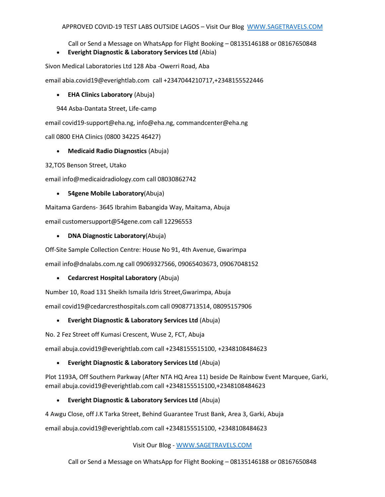Call or Send a Message on WhatsApp for Flight Booking – 08135146188 or 08167650848

• **Everight Diagnostic & Laboratory Services Ltd** (Abia)

Sivon Medical Laboratories Ltd 128 Aba -Owerri Road, Aba

email abia.covid19@everightlab.com call +2347044210717,+2348155522446

• **EHA Clinics Laboratory** (Abuja)

944 Asba-Dantata Street, Life-camp

email covid19-support@eha.ng, info@eha.ng, commandcenter@eha.ng

call 0800 EHA Clinics (0800 34225 46427)

# • **Medicaid Radio Diagnostics** (Abuja)

32,TOS Benson Street, Utako

email info@medicaidradiology.com call 08030862742

#### • **54gene Mobile Laboratory**(Abuja)

Maitama Gardens- 3645 Ibrahim Babangida Way, Maitama, Abuja email customersupport@54gene.com call 12296553

• **DNA Diagnostic Laboratory**(Abuja)

Off-Site Sample Collection Centre: House No 91, 4th Avenue, Gwarimpa

email info@dnalabs.com.ng call 09069327566, 09065403673, 09067048152

# • **Cedarcrest Hospital Laboratory** (Abuja)

Number 10, Road 131 Sheikh Ismaila Idris Street,Gwarimpa, Abuja

email covid19@cedarcresthospitals.com call 09087713514, 08095157906

# • **Everight Diagnostic & Laboratory Services Ltd** (Abuja)

No. 2 Fez Street off Kumasi Crescent, Wuse 2, FCT, Abuja

email abuja.covid19@everightlab.com call +2348155515100, +2348108484623

# • **Everight Diagnostic & Laboratory Services Ltd** (Abuja)

Plot 1193A, Off Southern Parkway (After NTA HQ Area 11) beside De Rainbow Event Marquee, Garki, email abuja.covid19@everightlab.com call +2348155515100,+2348108484623

# • **Everight Diagnostic & Laboratory Services Ltd** (Abuja)

4 Awgu Close, off J.K Tarka Street, Behind Guarantee Trust Bank, Area 3, Garki, Abuja

email abuja.covid19@everightlab.com call +2348155515100, +2348108484623

Visit Our Blog - [WWW.SAGETRAVELS.COM](http://www.sagetravels.com/)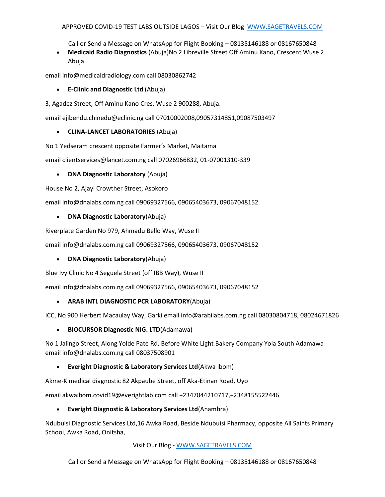Call or Send a Message on WhatsApp for Flight Booking – 08135146188 or 08167650848

• **Medicaid Radio Diagnostics** (Abuja)No 2 Libreville Street Off Aminu Kano, Crescent Wuse 2 Abuja

email info@medicaidradiology.com call 08030862742

- **E-Clinic and Diagnostic Ltd** (Abuja)
- 3, Agadez Street, Off Aminu Kano Cres, Wuse 2 900288, Abuja.

email ejibendu.chinedu@eclinic.ng call 07010002008,09057314851,09087503497

#### • **CLINA-LANCET LABORATORIES** (Abuja)

No 1 Yedseram crescent opposite Farmer's Market, Maitama

email clientservices@lancet.com.ng call 07026966832, 01-07001310-339

#### • **DNA Diagnostic Laboratory** (Abuja)

House No 2, Ajayi Crowther Street, Asokoro

email info@dnalabs.com.ng call 09069327566, 09065403673, 09067048152

#### • **DNA Diagnostic Laboratory**(Abuja)

Riverplate Garden No 979, Ahmadu Bello Way, Wuse II

email info@dnalabs.com.ng call 09069327566, 09065403673, 09067048152

#### • **DNA Diagnostic Laboratory**(Abuja)

Blue Ivy Clinic No 4 Seguela Street (off IBB Way), Wuse II

email info@dnalabs.com.ng call 09069327566, 09065403673, 09067048152

# • **ARAB INTL DIAGNOSTIC PCR LABORATORY**(Abuja)

ICC, No 900 Herbert Macaulay Way, Garki email info@arabilabs.com.ng call 08030804718, 08024671826

• **BIOCURSOR Diagnostic NIG. LTD**(Adamawa)

No 1 Jalingo Street, Along Yolde Pate Rd, Before White Light Bakery Company Yola South Adamawa email info@dnalabs.com.ng call 08037508901

# • **Everight Diagnostic & Laboratory Services Ltd**(Akwa Ibom)

Akme-K medical diagnostic 82 Akpaube Street, off Aka-Etinan Road, Uyo

email akwaibom.covid19@everightlab.com call +2347044210717,+2348155522446

#### • **Everight Diagnostic & Laboratory Services Ltd**(Anambra)

Ndubuisi Diagnostic Services Ltd,16 Awka Road, Beside Ndubuisi Pharmacy, opposite All Saints Primary School, Awka Road, Onitsha,

Visit Our Blog - [WWW.SAGETRAVELS.COM](http://www.sagetravels.com/)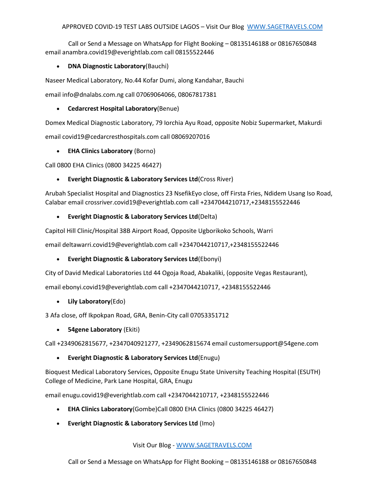Call or Send a Message on WhatsApp for Flight Booking – 08135146188 or 08167650848 email anambra.covid19@everightlab.com call 08155522446

# • **DNA Diagnostic Laboratory**(Bauchi)

Naseer Medical Laboratory, No.44 Kofar Dumi, along Kandahar, Bauchi

email info@dnalabs.com.ng call 07069064066, 08067817381

#### • **Cedarcrest Hospital Laboratory**(Benue)

Domex Medical Diagnostic Laboratory, 79 Iorchia Ayu Road, opposite Nobiz Supermarket, Makurdi email covid19@cedarcresthospitals.com call 08069207016

# • **EHA Clinics Laboratory** (Borno)

Call 0800 EHA Clinics (0800 34225 46427)

# • **Everight Diagnostic & Laboratory Services Ltd**(Cross River)

Arubah Specialist Hospital and Diagnostics 23 NsefikEyo close, off Firsta Fries, Ndidem Usang Iso Road, Calabar email crossriver.covid19@everightlab.com call +2347044210717,+2348155522446

#### • **Everight Diagnostic & Laboratory Services Ltd**(Delta)

Capitol Hill Clinic/Hospital 38B Airport Road, Opposite Ugborikoko Schools, Warri

email deltawarri.covid19@everightlab.com call +2347044210717,+2348155522446

# • **Everight Diagnostic & Laboratory Services Ltd**(Ebonyi)

City of David Medical Laboratories Ltd 44 Ogoja Road, Abakaliki, (opposite Vegas Restaurant),

email ebonyi.covid19@everightlab.com call +2347044210717, +2348155522446

# • **Lily Laboratory**(Edo)

3 Afa close, off Ikpokpan Road, GRA, Benin-City call 07053351712

• **54gene Laboratory** (Ekiti)

Call +2349062815677, +2347040921277, +2349062815674 email customersupport@54gene.com

# • **Everight Diagnostic & Laboratory Services Ltd**(Enugu)

Bioquest Medical Laboratory Services, Opposite Enugu State University Teaching Hospital (ESUTH) College of Medicine, Park Lane Hospital, GRA, Enugu

email enugu.covid19@everightlab.com call +2347044210717, +2348155522446

- **EHA Clinics Laboratory**(Gombe)Call 0800 EHA Clinics (0800 34225 46427)
- **Everight Diagnostic & Laboratory Services Ltd** (Imo)

Visit Our Blog - [WWW.SAGETRAVELS.COM](http://www.sagetravels.com/)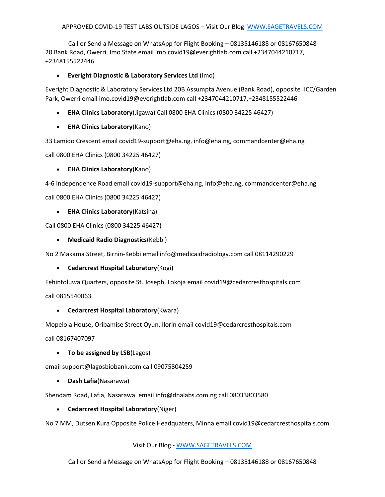Call or Send a Message on WhatsApp for Flight Booking – 08135146188 or 08167650848 20 Bank Road, Owerri, Imo State email imo.covid19@everightlab.com call +2347044210717, +2348155522446

#### • **Everight Diagnostic & Laboratory Services Ltd** (Imo)

Everight Diagnostic & Laboratory Services Ltd 20B Assumpta Avenue (Bank Road), opposite IICC/Garden Park, Owerri email imo.covid19@everightlab.com call +2347044210717,+2348155522446

- **EHA Clinics Laboratory**(Jigawa) Call 0800 EHA Clinics (0800 34225 46427)
- **EHA Clinics Laboratory**(Kano)

33 Lamido Crescent email covid19-support@eha.ng, info@eha.ng, commandcenter@eha.ng

call 0800 EHA Clinics (0800 34225 46427)

• **EHA Clinics Laboratory**(Kano)

4-6 Independence Road email covid19-support@eha.ng, info@eha.ng, commandcenter@eha.ng

call 0800 EHA Clinics (0800 34225 46427)

• **EHA Clinics Laboratory**(Katsina)

Call 0800 EHA Clinics (0800 34225 46427)

• **Medicaid Radio Diagnostics**(Kebbi)

No 2 Makama Street, Birnin-Kebbi email info@medicaidradiology.com call 08114290229

# • **Cedarcrest Hospital Laboratory**(Kogi)

Fehintoluwa Quarters, opposite St. Joseph, Lokoja email covid19@cedarcresthospitals.com

call 0815540063

# • **Cedarcrest Hospital Laboratory**(Kwara)

Mopelola House, Oribamise Street Oyun, Ilorin email covid19@cedarcresthospitals.com

call 08167407097

# • **To be assigned by LSB**(Lagos)

email support@lagosbiobank.com call 09075804259

• **Dash Lafia**(Nasarawa)

Shendam Road, Lafia, Nasarawa. email info@dnalabs.com.ng call 08033803580

• **Cedarcrest Hospital Laboratory**(Niger)

No 7 MM, Dutsen Kura Opposite Police Headquaters, Minna email covid19@cedarcresthospitals.com

Visit Our Blog - [WWW.SAGETRAVELS.COM](http://www.sagetravels.com/)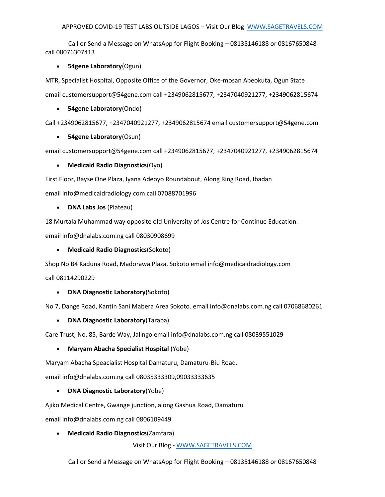Call or Send a Message on WhatsApp for Flight Booking – 08135146188 or 08167650848 call 08076307413

#### • **54gene Laboratory**(Ogun)

MTR, Specialist Hospital, Opposite Office of the Governor, Oke-mosan Abeokuta, Ogun State email customersupport@54gene.com call +2349062815677, +2347040921277, +2349062815674

• **54gene Laboratory**(Ondo)

Call +2349062815677, +2347040921277, +2349062815674 email customersupport@54gene.com

#### • **54gene Laboratory**(Osun)

email customersupport@54gene.com call +2349062815677, +2347040921277, +2349062815674

#### • **Medicaid Radio Diagnostics**(Oyo)

First Floor, Bayse One Plaza, Iyana Adeoyo Roundabout, Along Ring Road, Ibadan

email info@medicaidradiology.com call 07088701996

• **DNA Labs Jos** (Plateau)

18 Murtala Muhammad way opposite old University of Jos Centre for Continue Education.

email info@dnalabs.com.ng call 08030908699

#### • **Medicaid Radio Diagnostics**(Sokoto)

Shop No B4 Kaduna Road, Madorawa Plaza, Sokoto email info@medicaidradiology.com

call 08114290229

# • **DNA Diagnostic Laboratory**(Sokoto)

No 7, Dange Road, Kantin Sani Mabera Area Sokoto. email info@dnalabs.com.ng call 07068680261

• **DNA Diagnostic Laboratory**(Taraba)

Care Trust, No. 85, Barde Way, Jalingo email info@dnalabs.com.ng call 08039551029

# • **Maryam Abacha Specialist Hospital** (Yobe)

Maryam Abacha Speacialist Hospital Damaturu, Damaturu-Biu Road.

email info@dnalabs.com.ng call 08035333309,09033333635

# • **DNA Diagnostic Laboratory**(Yobe)

Ajiko Medical Centre, Gwange junction, along Gashua Road, Damaturu

email info@dnalabs.com.ng call 0806109449

• **Medicaid Radio Diagnostics**(Zamfara)

Visit Our Blog - [WWW.SAGETRAVELS.COM](http://www.sagetravels.com/)